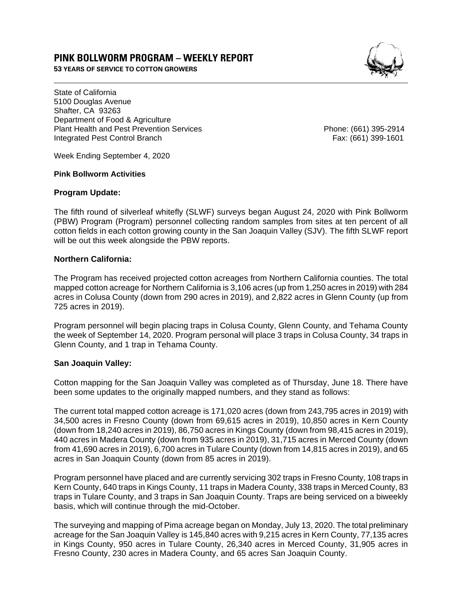# **PINK BOLLWORM PROGRAM – WEEKLY REPORT**

**53 YEARS OF SERVICE TO COTTON GROWERS** 



State of California 5100 Douglas Avenue Shafter, CA 93263 Department of Food & Agriculture Plant Health and Pest Prevention Services Phone: (661) 395-2914 Integrated Pest Control Branch Fax: (661) 399-1601

Week Ending September 4, 2020

#### **Pink Bollworm Activities**

#### **Program Update:**

The fifth round of silverleaf whitefly (SLWF) surveys began August 24, 2020 with Pink Bollworm (PBW) Program (Program) personnel collecting random samples from sites at ten percent of all cotton fields in each cotton growing county in the San Joaquin Valley (SJV). The fifth SLWF report will be out this week alongside the PBW reports.

## **Northern California:**

The Program has received projected cotton acreages from Northern California counties. The total mapped cotton acreage for Northern California is 3,106 acres (up from 1,250 acres in 2019) with 284 acres in Colusa County (down from 290 acres in 2019), and 2,822 acres in Glenn County (up from 725 acres in 2019).

Program personnel will begin placing traps in Colusa County, Glenn County, and Tehama County the week of September 14, 2020. Program personal will place 3 traps in Colusa County, 34 traps in Glenn County, and 1 trap in Tehama County.

## **San Joaquin Valley:**

Cotton mapping for the San Joaquin Valley was completed as of Thursday, June 18. There have been some updates to the originally mapped numbers, and they stand as follows:

The current total mapped cotton acreage is 171,020 acres (down from 243,795 acres in 2019) with 34,500 acres in Fresno County (down from 69,615 acres in 2019), 10,850 acres in Kern County (down from 18,240 acres in 2019), 86,750 acres in Kings County (down from 98,415 acres in 2019), 440 acres in Madera County (down from 935 acres in 2019), 31,715 acres in Merced County (down from 41,690 acres in 2019), 6,700 acres in Tulare County (down from 14,815 acres in 2019), and 65 acres in San Joaquin County (down from 85 acres in 2019).

Program personnel have placed and are currently servicing 302 traps in Fresno County, 108 traps in Kern County, 640 traps in Kings County, 11 traps in Madera County, 338 traps in Merced County, 83 traps in Tulare County, and 3 traps in San Joaquin County. Traps are being serviced on a biweekly basis, which will continue through the mid-October.

The surveying and mapping of Pima acreage began on Monday, July 13, 2020. The total preliminary acreage for the San Joaquin Valley is 145,840 acres with 9,215 acres in Kern County, 77,135 acres in Kings County, 950 acres in Tulare County, 26,340 acres in Merced County, 31,905 acres in Fresno County, 230 acres in Madera County, and 65 acres San Joaquin County.